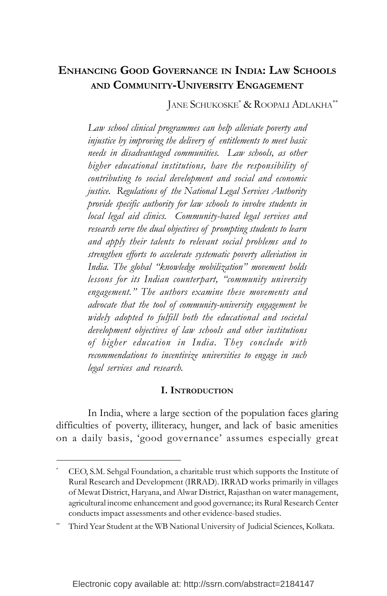# **ENHANCING GOOD GOVERNANCE IN INDIA: LAW SCHOOLS AND COMMUNITY-UNIVERSITY ENGAGEMENT**

JANE SCHUKOSKE\* & ROOPALI ADLAKHA\*\*

*Law school clinical programmes can help alleviate poverty and injustice by improving the delivery of entitlements to meet basic needs in disadvantaged communities. Law schools, as other higher educational institutions, have the responsibility of contributing to social development and social and economic justice. Regulations of the National Legal Services Authority provide specific authority for law schools to involve students in local legal aid clinics. Community-based legal services and research serve the dual objectives of prompting students to learn and apply their talents to relevant social problems and to strengthen efforts to accelerate systematic poverty alleviation in India. The global "knowledge mobilization" movement holds lessons for its Indian counterpart, "community university engagement." The authors examine these movements and advocate that the tool of community-university engagement be widely adopted to fulfill both the educational and societal development objectives of law schools and other institutions of higher education in India. They conclude with recommendations to incentivize universities to engage in such legal services and research.*

#### **I. INTRODUCTION**

In India, where a large section of the population faces glaring difficulties of poverty, illiteracy, hunger, and lack of basic amenities on a daily basis, 'good governance' assumes especially great

CEO, S.M. Sehgal Foundation, a charitable trust which supports the Institute of Rural Research and Development (IRRAD). IRRAD works primarily in villages of Mewat District, Haryana, and Alwar District, Rajasthan on water management, agricultural income enhancement and good governance; its Rural Research Center conducts impact assessments and other evidence-based studies.

Third Year Student at the WB National University of Judicial Sciences, Kolkata.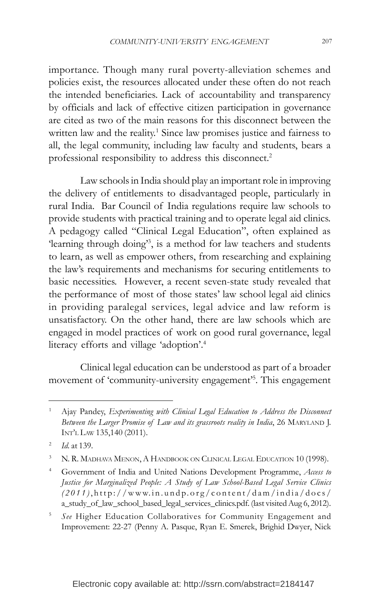importance. Though many rural poverty-alleviation schemes and policies exist, the resources allocated under these often do not reach the intended beneficiaries. Lack of accountability and transparency by officials and lack of effective citizen participation in governance are cited as two of the main reasons for this disconnect between the written law and the reality.<sup>1</sup> Since law promises justice and fairness to all, the legal community, including law faculty and students, bears a professional responsibility to address this disconnect.2

Law schools in India should play an important role in improving the delivery of entitlements to disadvantaged people, particularly in rural India. Bar Council of India regulations require law schools to provide students with practical training and to operate legal aid clinics. A pedagogy called "Clinical Legal Education", often explained as 'learning through doing'3 , is a method for law teachers and students to learn, as well as empower others, from researching and explaining the law's requirements and mechanisms for securing entitlements to basic necessities. However, a recent seven-state study revealed that the performance of most of those states' law school legal aid clinics in providing paralegal services, legal advice and law reform is unsatisfactory. On the other hand, there are law schools which are engaged in model practices of work on good rural governance, legal literacy efforts and village 'adoption'.4

Clinical legal education can be understood as part of a broader movement of 'community-university engagement'5 . This engagement

<sup>1</sup> Ajay Pandey, *Experimenting with Clinical Legal Education to Address the Disconnect Between the Larger Promise of Law and its grassroots reality in India*, 26 MARYLAND J. INT'L LAW 135,140 (2011).

<sup>2</sup> *Id.* at 139.

<sup>&</sup>lt;sup>3</sup> N. R. MADHAVA MENON, A HANDBOOK ON CLINICAL LEGAL EDUCATION 10 (1998).

<sup>4</sup> Government of India and United Nations Development Programme, *Access to Justice for Marginalized People: A Study of Law School-Based Legal Service Clinics (2011)* ,http://www.in.undp.or g/content/dam/india/docs/ a\_study\_of\_law\_school\_based\_legal\_services\_clinics.pdf. (last visited Aug 6, 2012).

<sup>5</sup> *See* Higher Education Collaboratives for Community Engagement and Improvement: 22-27 (Penny A. Pasque, Ryan E. Smerek, Brighid Dwyer, Nick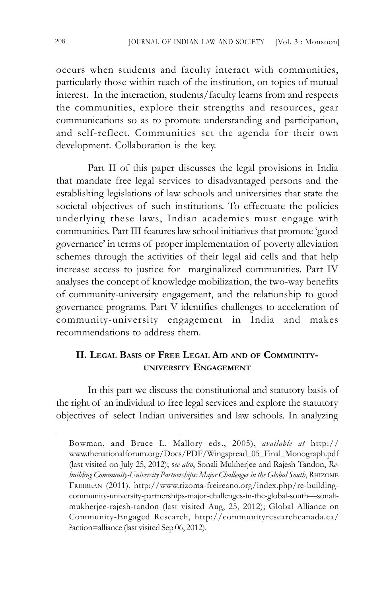occurs when students and faculty interact with communities, particularly those within reach of the institution, on topics of mutual interest. In the interaction, students/faculty learns from and respects the communities, explore their strengths and resources, gear communications so as to promote understanding and participation, and self-reflect. Communities set the agenda for their own development. Collaboration is the key.

Part II of this paper discusses the legal provisions in India that mandate free legal services to disadvantaged persons and the establishing legislations of law schools and universities that state the societal objectives of such institutions. To effectuate the policies underlying these laws, Indian academics must engage with communities. Part III features law school initiatives that promote 'good governance' in terms of proper implementation of poverty alleviation schemes through the activities of their legal aid cells and that help increase access to justice for marginalized communities. Part IV analyses the concept of knowledge mobilization, the two-way benefits of community-university engagement, and the relationship to good governance programs. Part V identifies challenges to acceleration of community-university engagement in India and makes recommendations to address them.

# **II. LEGAL BASIS OF FREE LEGAL AID AND OF COMMUNITY-UNIVERSITY ENGAGEMENT**

In this part we discuss the constitutional and statutory basis of the right of an individual to free legal services and explore the statutory objectives of select Indian universities and law schools. In analyzing

Bowman, and Bruce L. Mallory eds., 2005), *available at* http:// www.thenationalforum.org/Docs/PDF/Wingspread\_05\_Final\_Monograph.pdf (last visited on July 25, 2012); s*ee also*, Sonali Mukherjee and Rajesh Tandon, *Rebuilding Community-University Partnerships: Major Challenges in the Global South*, RHIZOME FREIREAN (2011), http://www.rizoma-freireano.org/index.php/re-buildingcommunity-university-partnerships-major-challenges-in-the-global-south—sonalimukherjee-rajesh-tandon (last visited Aug, 25, 2012); Global Alliance on Community-Engaged Research, http://communityresearchcanada.ca/ ?action=alliance (last visited Sep 06, 2012).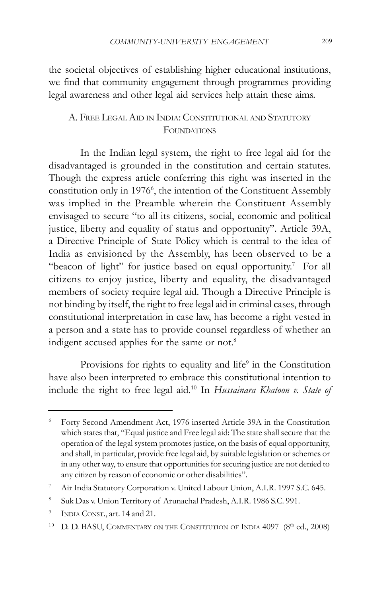the societal objectives of establishing higher educational institutions, we find that community engagement through programmes providing legal awareness and other legal aid services help attain these aims.

# A. FREE LEGAL AID IN INDIA: CONSTITUTIONAL AND STATUTORY FOUNDATIONS

In the Indian legal system, the right to free legal aid for the disadvantaged is grounded in the constitution and certain statutes. Though the express article conferring this right was inserted in the constitution only in 1976<sup>6</sup>, the intention of the Constituent Assembly was implied in the Preamble wherein the Constituent Assembly envisaged to secure "to all its citizens, social, economic and political justice, liberty and equality of status and opportunity". Article 39A, a Directive Principle of State Policy which is central to the idea of India as envisioned by the Assembly, has been observed to be a "beacon of light" for justice based on equal opportunity.<sup>7</sup> For all citizens to enjoy justice, liberty and equality, the disadvantaged members of society require legal aid. Though a Directive Principle is not binding by itself, the right to free legal aid in criminal cases, through constitutional interpretation in case law, has become a right vested in a person and a state has to provide counsel regardless of whether an indigent accused applies for the same or not.<sup>8</sup>

Provisions for rights to equality and life<sup>9</sup> in the Constitution have also been interpreted to embrace this constitutional intention to include the right to free legal aid.10 In *Hussainara Khatoon v. State of*

<sup>6</sup> Forty Second Amendment Act, 1976 inserted Article 39A in the Constitution which states that, "Equal justice and Free legal aid: The state shall secure that the operation of the legal system promotes justice, on the basis of equal opportunity, and shall, in particular, provide free legal aid, by suitable legislation or schemes or in any other way, to ensure that opportunities for securing justice are not denied to any citizen by reason of economic or other disabilities".

<sup>7</sup> Air India Statutory Corporation v. United Labour Union, A.I.R. 1997 S.C. 645.

<sup>8</sup> Suk Das v. Union Territory of Arunachal Pradesh, A.I.R. 1986 S.C. 991.

<sup>&</sup>lt;sup>9</sup> INDIA CONST., art. 14 and 21.

<sup>&</sup>lt;sup>10</sup> D. D. BASU, COMMENTARY ON THE CONSTITUTION OF INDIA  $4097$  ( $8<sup>th</sup>$  ed., 2008)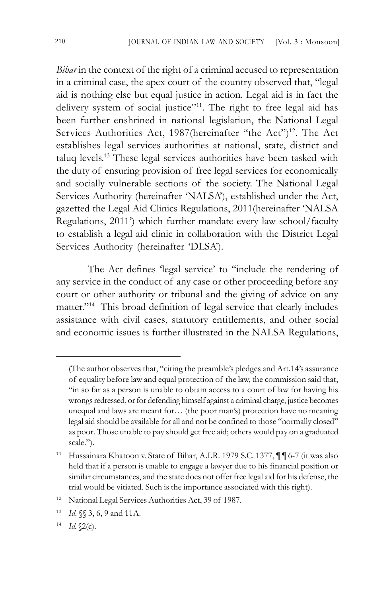*Bihar* in the context of the right of a criminal accused to representation in a criminal case, the apex court of the country observed that, "legal aid is nothing else but equal justice in action. Legal aid is in fact the delivery system of social justice"11. The right to free legal aid has been further enshrined in national legislation, the National Legal Services Authorities Act, 1987(hereinafter "the Act")<sup>12</sup>. The Act establishes legal services authorities at national, state, district and taluq levels. 13 These legal services authorities have been tasked with the duty of ensuring provision of free legal services for economically and socially vulnerable sections of the society. The National Legal Services Authority (hereinafter 'NALSA'), established under the Act, gazetted the Legal Aid Clinics Regulations, 2011(hereinafter 'NALSA Regulations, 2011') which further mandate every law school/faculty to establish a legal aid clinic in collaboration with the District Legal Services Authority (hereinafter 'DLSA').

The Act defines 'legal service' to "include the rendering of any service in the conduct of any case or other proceeding before any court or other authority or tribunal and the giving of advice on any matter."14 This broad definition of legal service that clearly includes assistance with civil cases, statutory entitlements, and other social and economic issues is further illustrated in the NALSA Regulations,

<sup>(</sup>The author observes that, "citing the preamble's pledges and Art.14's assurance of equality before law and equal protection of the law, the commission said that, "in so far as a person is unable to obtain access to a court of law for having his wrongs redressed, or for defending himself against a criminal charge, justice becomes unequal and laws are meant for… (the poor man's) protection have no meaning legal aid should be available for all and not be confined to those "normally closed" as poor. Those unable to pay should get free aid; others would pay on a graduated scale.").

<sup>&</sup>lt;sup>11</sup> Hussainara Khatoon v. State of Bihar, A.I.R. 1979 S.C. 1377,  $\P\P$  6-7 (it was also held that if a person is unable to engage a lawyer due to his financial position or similar circumstances, and the state does not offer free legal aid for his defense, the trial would be vitiated. Such is the importance associated with this right).

<sup>&</sup>lt;sup>12</sup> National Legal Services Authorities Act, 39 of 1987.

<sup>13</sup> *Id*. §§ 3, 6, 9 and 11A.

 $14$  *Id.*  $\sqrt{2}$ (c).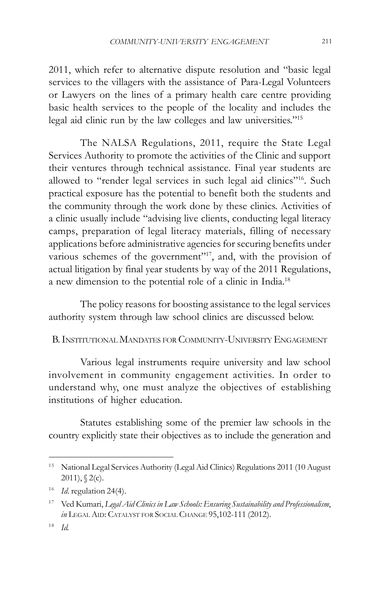2011, which refer to alternative dispute resolution and "basic legal services to the villagers with the assistance of Para-Legal Volunteers or Lawyers on the lines of a primary health care centre providing basic health services to the people of the locality and includes the legal aid clinic run by the law colleges and law universities."15

The NALSA Regulations, 2011, require the State Legal Services Authority to promote the activities of the Clinic and support their ventures through technical assistance. Final year students are allowed to "render legal services in such legal aid clinics"16. Such practical exposure has the potential to benefit both the students and the community through the work done by these clinics. Activities of a clinic usually include "advising live clients, conducting legal literacy camps, preparation of legal literacy materials, filling of necessary applications before administrative agencies for securing benefits under various schemes of the government"<sup>17</sup>, and, with the provision of actual litigation by final year students by way of the 2011 Regulations, a new dimension to the potential role of a clinic in India.18

The policy reasons for boosting assistance to the legal services authority system through law school clinics are discussed below.

B. INSTITUTIONAL MANDATES FOR COMMUNITY-UNIVERSITY ENGAGEMENT

Various legal instruments require university and law school involvement in community engagement activities. In order to understand why, one must analyze the objectives of establishing institutions of higher education.

Statutes establishing some of the premier law schools in the country explicitly state their objectives as to include the generation and

<sup>15</sup> National Legal Services Authority (Legal Aid Clinics) Regulations 2011 (10 August  $2011$ ),  $\{2(c)$ .

<sup>16</sup> *Id*. regulation 24(4).

<sup>17</sup> Ved Kumari, *Legal Aid Clinics in Law Schools: Ensuring Sustainability and Professionalism*, *in* LEGAL AID: CATALYST FOR SOCIAL CHANGE 95,102-111 (2012).

<sup>18</sup> *Id.*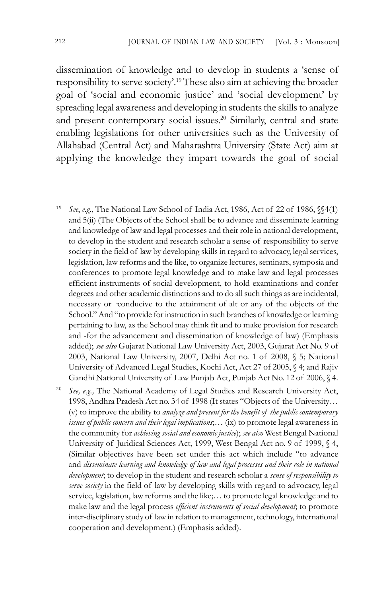dissemination of knowledge and to develop in students a 'sense of responsibility to serve society'.19These also aim at achieving the broader goal of 'social and economic justice' and 'social development' by spreading legal awareness and developing in students the skills to analyze and present contemporary social issues. 20 Similarly, central and state enabling legislations for other universities such as the University of Allahabad (Central Act) and Maharashtra University (State Act) aim at applying the knowledge they impart towards the goal of social

See, e.g., The National Academy of Legal Studies and Research University Act, 1998, Andhra Pradesh Act no. 34 of 1998 (It states "Objects of the University… (v) to improve the ability to *analyze and present for the benefit of the public contemporary issues of public concern and their legal implications*;… (ix) to promote legal awareness in the community for *achieving social and economic justice*); *see also* West Bengal National University of Juridical Sciences Act, 1999, West Bengal Act no. 9 of 1999, § 4, (Similar objectives have been set under this act which include "to advance and *disseminate learning and knowledge of law and legal processes and their role in national development*; to develop in the student and research scholar a *sense of responsibility to serve society* in the field of law by developing skills with regard to advocacy, legal service, legislation, law reforms and the like;… to promote legal knowledge and to make law and the legal process *efficient instruments of social development*; to promote inter-disciplinary study of law in relation to management, technology, international cooperation and development.) (Emphasis added).

<sup>19</sup> *See*, *e.g*., The National Law School of India Act, 1986, Act of 22 of 1986, §§4(1) and 5(ii) (The Objects of the School shall be to advance and disseminate learning and knowledge of law and legal processes and their role in national development, to develop in the student and research scholar a sense of responsibility to serve society in the field of law by developing skills in regard to advocacy, legal services, legislation, law reforms and the like, to organize lectures, seminars, symposia and conferences to promote legal knowledge and to make law and legal processes efficient instruments of social development, to hold examinations and confer degrees and other academic distinctions and to do all such things as are incidental, necessary or ·conducive to the attainment of alt or any of the objects of the School." And "to provide for instruction in such branches of knowledge or learning pertaining to law, as the School may think fit and to make provision for research and -for the advancement and dissemination of knowledge of law) (Emphasis added); *see also* Gujarat National Law University Act, 2003, Gujarat Act No. 9 of 2003, National Law University, 2007, Delhi Act no. 1 of 2008, § 5; National University of Advanced Legal Studies, Kochi Act, Act 27 of 2005, § 4; and Rajiv Gandhi National University of Law Punjab Act, Punjab Act No. 12 of 2006, § 4.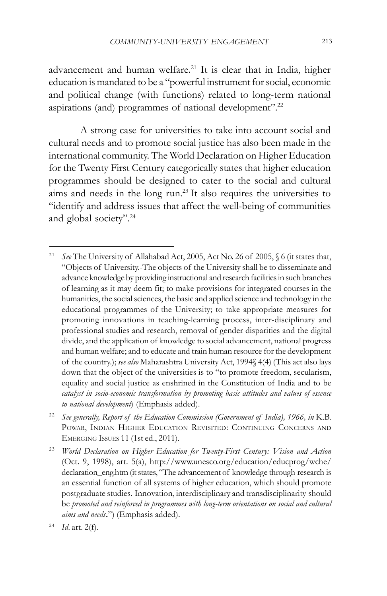advancement and human welfare.<sup>21</sup> It is clear that in India, higher education is mandated to be a "powerful instrument for social, economic and political change (with functions) related to long-term national aspirations (and) programmes of national development".22

A strong case for universities to take into account social and cultural needs and to promote social justice has also been made in the international community. The World Declaration on Higher Education for the Twenty First Century categorically states that higher education programmes should be designed to cater to the social and cultural aims and needs in the long run.23 It also requires the universities to "identify and address issues that affect the well-being of communities and global society".24

<sup>21</sup> *See* The University of Allahabad Act, 2005, Act No. 26 of 2005, § 6 (it states that, "Objects of University.-The objects of the University shall be to disseminate and advance knowledge by providing instructional and research facilities in such branches of learning as it may deem fit; to make provisions for integrated courses in the humanities, the social sciences, the basic and applied science and technology in the educational programmes of the University; to take appropriate measures for promoting innovations in teaching-learning process, inter-disciplinary and professional studies and research, removal of gender disparities and the digital divide, and the application of knowledge to social advancement, national progress and human welfare; and to educate and train human resource for the development of the country.); *see also* Maharashtra University Act, 1994§ 4(4) (This act also lays down that the object of the universities is to "to promote freedom, secularism, equality and social justice as enshrined in the Constitution of India and to be *catalyst in socio-economic transformation by promoting basic attitudes and values of essence to national development*) (Emphasis added).

<sup>&</sup>lt;sup>22</sup> See generally, Report of the Education Commission (Government of India), 1966, in K.B. POWAR, INDIAN HIGHER EDUCATION REVISITED: CONTINUING CONCERNS AND EMERGING ISSUES 11 (1st ed., 2011).

<sup>23</sup> *World Declaration on Higher Education for Twenty-First Century: Vision and Action* (Oct. 9, 1998), art. 5(a), http://www.unesco.org/education/educprog/wche/ declaration\_eng.htm (it states, "The advancement of knowledge through research is an essential function of all systems of higher education, which should promote postgraduate studies. Innovation, interdisciplinary and transdisciplinarity should be *promoted and reinforced in programmes with long-term orientations on social and cultural aims and needs***.**") (Emphasis added).

<sup>24</sup> *Id*. art. 2(f).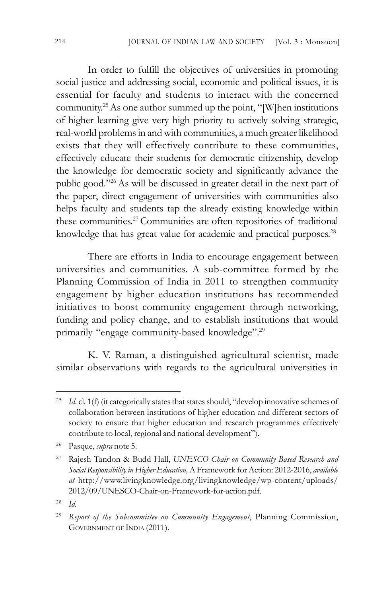In order to fulfill the objectives of universities in promoting social justice and addressing social, economic and political issues, it is essential for faculty and students to interact with the concerned community. 25As one author summed up the point, "[W]hen institutions of higher learning give very high priority to actively solving strategic, real-world problems in and with communities, a much greater likelihood exists that they will effectively contribute to these communities, effectively educate their students for democratic citizenship, develop the knowledge for democratic society and significantly advance the public good."26As will be discussed in greater detail in the next part of the paper, direct engagement of universities with communities also helps faculty and students tap the already existing knowledge within these communities. <sup>27</sup> Communities are often repositories of traditional knowledge that has great value for academic and practical purposes.<sup>28</sup>

There are efforts in India to encourage engagement between universities and communities. A sub-committee formed by the Planning Commission of India in 2011 to strengthen community engagement by higher education institutions has recommended initiatives to boost community engagement through networking, funding and policy change, and to establish institutions that would primarily "engage community-based knowledge".29

K. V. Raman, a distinguished agricultural scientist, made similar observations with regards to the agricultural universities in

<sup>&</sup>lt;sup>25</sup> *Id.* cl. 1(f) (it categorically states that states should, "develop innovative schemes of collaboration between institutions of higher education and different sectors of society to ensure that higher education and research programmes effectively contribute to local, regional and national development").

<sup>26</sup> Pasque, *supra* note 5.

<sup>27</sup> Rajesh Tandon & Budd Hall, *UNESCO Chair on Community Based Research and Social Responsibility in Higher Education,* A Framework for Action: 2012-2016, *available at* http://www.livingknowledge.org/livingknowledge/wp-content/uploads/ 2012/09/UNESCO-Chair-on-Framework-for-action.pdf.

<sup>28</sup> *Id*.

<sup>29</sup> *Report of the Subcommittee on Community Engagement*, Planning Commission, GOVERNMENT OF INDIA (2011).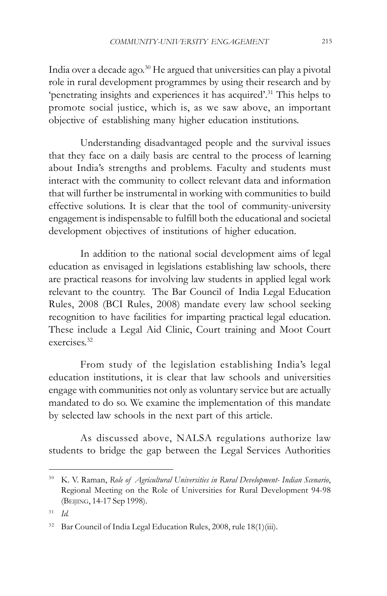India over a decade ago.30 He argued that universities can play a pivotal role in rural development programmes by using their research and by 'penetrating insights and experiences it has acquired'.31 This helps to promote social justice, which is, as we saw above, an important objective of establishing many higher education institutions.

Understanding disadvantaged people and the survival issues that they face on a daily basis are central to the process of learning about India's strengths and problems. Faculty and students must interact with the community to collect relevant data and information that will further be instrumental in working with communities to build effective solutions. It is clear that the tool of community-university engagement is indispensable to fulfill both the educational and societal development objectives of institutions of higher education.

In addition to the national social development aims of legal education as envisaged in legislations establishing law schools, there are practical reasons for involving law students in applied legal work relevant to the country. The Bar Council of India Legal Education Rules, 2008 (BCI Rules, 2008) mandate every law school seeking recognition to have facilities for imparting practical legal education. These include a Legal Aid Clinic, Court training and Moot Court exercises. 32

From study of the legislation establishing India's legal education institutions, it is clear that law schools and universities engage with communities not only as voluntary service but are actually mandated to do so. We examine the implementation of this mandate by selected law schools in the next part of this article.

As discussed above, NALSA regulations authorize law students to bridge the gap between the Legal Services Authorities

<sup>30</sup> K. V. Raman, *Role of Agricultural Universities in Rural Development- Indian Scenario*, Regional Meeting on the Role of Universities for Rural Development 94-98 (BEIJING, 14-17 Sep 1998).

<sup>31</sup> *Id.*

<sup>&</sup>lt;sup>32</sup> Bar Council of India Legal Education Rules, 2008, rule 18(1)(iii).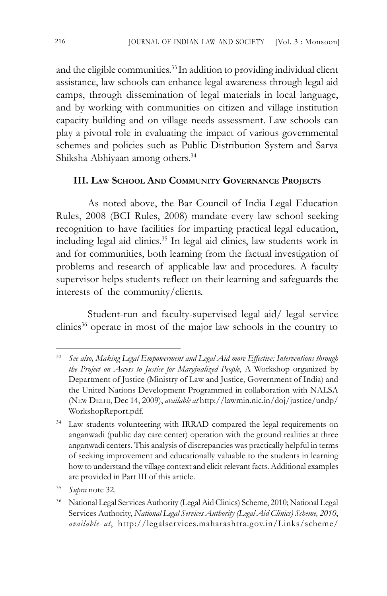and the eligible communities. 33 In addition to providing individual client assistance, law schools can enhance legal awareness through legal aid camps, through dissemination of legal materials in local language, and by working with communities on citizen and village institution capacity building and on village needs assessment. Law schools can play a pivotal role in evaluating the impact of various governmental schemes and policies such as Public Distribution System and Sarva Shiksha Abhiyaan among others.34

## **III. LAW SCHOOL AND COMMUNITY GOVERNANCE PROJECTS**

As noted above, the Bar Council of India Legal Education Rules, 2008 (BCI Rules, 2008) mandate every law school seeking recognition to have facilities for imparting practical legal education, including legal aid clinics. 35 In legal aid clinics, law students work in and for communities, both learning from the factual investigation of problems and research of applicable law and procedures. A faculty supervisor helps students reflect on their learning and safeguards the interests of the community/clients.

Student-run and faculty-supervised legal aid/ legal service clinics<sup>36</sup> operate in most of the major law schools in the country to

<sup>33</sup> *See also, Making Legal Empowerment and Legal Aid more Effective: Interventions through the Project on Access to Justice for Marginalized People*, A Workshop organized by Department of Justice (Ministry of Law and Justice, Government of India) and the United Nations Development Programmed in collaboration with NALSA (NEW DELHI, Dec 14, 2009), *available at* http://lawmin.nic.in/doj/justice/undp/ WorkshopReport.pdf.

<sup>&</sup>lt;sup>34</sup> Law students volunteering with IRRAD compared the legal requirements on anganwadi (public day care center) operation with the ground realities at three anganwadi centers. This analysis of discrepancies was practically helpful in terms of seeking improvement and educationally valuable to the students in learning how to understand the village context and elicit relevant facts. Additional examples are provided in Part III of this article.

<sup>35</sup> *Supra* note 32.

<sup>36</sup> National Legal Services Authority (Legal Aid Clinics) Scheme, 2010; National Legal Services Authority, *National Legal Services Authority (Legal Aid Clinics) Scheme, 2010*, *available at*, http://legalservices.maharashtra.gov.in/Links/scheme/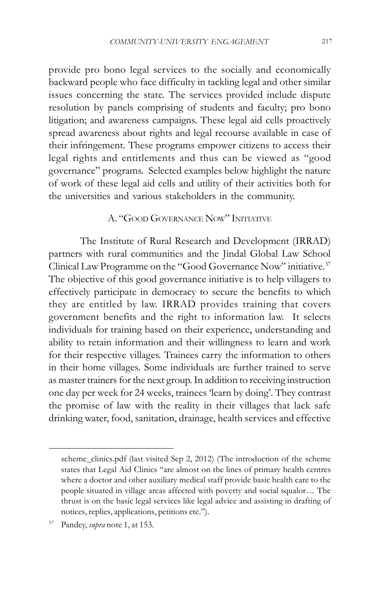provide pro bono legal services to the socially and economically backward people who face difficulty in tackling legal and other similar issues concerning the state. The services provided include dispute resolution by panels comprising of students and faculty; pro bono litigation; and awareness campaigns. These legal aid cells proactively spread awareness about rights and legal recourse available in case of their infringement. These programs empower citizens to access their legal rights and entitlements and thus can be viewed as "good governance" programs. Selected examples below highlight the nature of work of these legal aid cells and utility of their activities both for the universities and various stakeholders in the community.

## A. "GOOD GOVERNANCE NOW" INITIATIVE

The Institute of Rural Research and Development (IRRAD) partners with rural communities and the Jindal Global Law School Clinical Law Programme on the "Good Governance Now" initiative.37 The objective of this good governance initiative is to help villagers to effectively participate in democracy to secure the benefits to which they are entitled by law. IRRAD provides training that covers government benefits and the right to information law. It selects individuals for training based on their experience, understanding and ability to retain information and their willingness to learn and work for their respective villages. Trainees carry the information to others in their home villages. Some individuals are further trained to serve as master trainers for the next group. In addition to receiving instruction one day per week for 24 weeks, trainees 'learn by doing'. They contrast the promise of law with the reality in their villages that lack safe drinking water, food, sanitation, drainage, health services and effective

scheme\_clinics.pdf (last visited Sep 2, 2012) (The introduction of the scheme states that Legal Aid Clinics "are almost on the lines of primary health centres where a doctor and other auxiliary medical staff provide basic health care to the people situated in village areas affected with poverty and social squalor… The thrust is on the basic legal services like legal advice and assisting in drafting of notices, replies, applications, petitions etc.").

<sup>37</sup> Pandey, *supra* note 1, at 153.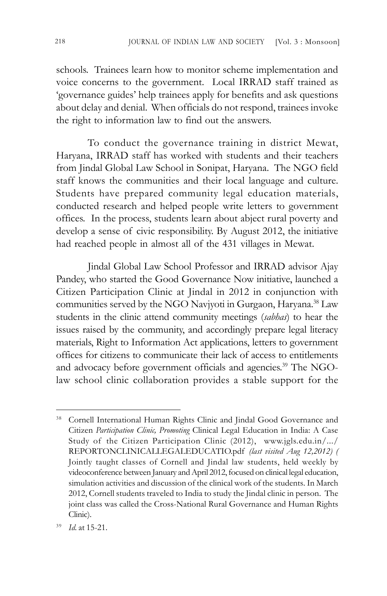schools. Trainees learn how to monitor scheme implementation and voice concerns to the government. Local IRRAD staff trained as 'governance guides' help trainees apply for benefits and ask questions about delay and denial. When officials do not respond, trainees invoke the right to information law to find out the answers.

To conduct the governance training in district Mewat, Haryana, IRRAD staff has worked with students and their teachers from Jindal Global Law School in Sonipat, Haryana. The NGO field staff knows the communities and their local language and culture. Students have prepared community legal education materials, conducted research and helped people write letters to government offices. In the process, students learn about abject rural poverty and develop a sense of civic responsibility. By August 2012, the initiative had reached people in almost all of the 431 villages in Mewat.

Jindal Global Law School Professor and IRRAD advisor Ajay Pandey, who started the Good Governance Now initiative, launched a Citizen Participation Clinic at Jindal in 2012 in conjunction with communities served by the NGO Navjyoti in Gurgaon, Haryana.<sup>38</sup> Law students in the clinic attend community meetings (*sabhas*) to hear the issues raised by the community, and accordingly prepare legal literacy materials, Right to Information Act applications, letters to government offices for citizens to communicate their lack of access to entitlements and advocacy before government officials and agencies. 39 The NGOlaw school clinic collaboration provides a stable support for the

<sup>&</sup>lt;sup>38</sup> Cornell International Human Rights Clinic and Jindal Good Governance and Citizen *Participation Clinic, Promoting* Clinical Legal Education in India: A Case Study of the Citizen Participation Clinic (2012), www.jgls.edu.in/.../ REPORTONCLINICALLEGALEDUCATIO.pdf *(last visited Aug 12,2012) (* Jointly taught classes of Cornell and Jindal law students, held weekly by videoconference between January and April 2012, focused on clinical legal education, simulation activities and discussion of the clinical work of the students. In March 2012, Cornell students traveled to India to study the Jindal clinic in person. The joint class was called the Cross-National Rural Governance and Human Rights Clinic).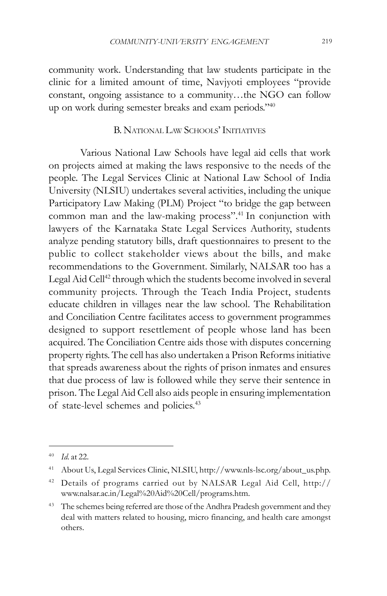community work. Understanding that law students participate in the clinic for a limited amount of time, Navjyoti employees "provide constant, ongoing assistance to a community…the NGO can follow up on work during semester breaks and exam periods."40

## B. NATIONAL LAW SCHOOLS' INITIATIVES

Various National Law Schools have legal aid cells that work on projects aimed at making the laws responsive to the needs of the people. The Legal Services Clinic at National Law School of India University (NLSIU) undertakes several activities, including the unique Participatory Law Making (PLM) Project "to bridge the gap between common man and the law-making process".<sup>41</sup> In conjunction with lawyers of the Karnataka State Legal Services Authority, students analyze pending statutory bills, draft questionnaires to present to the public to collect stakeholder views about the bills, and make recommendations to the Government. Similarly, NALSAR too has a Legal Aid Cell<sup>42</sup> through which the students become involved in several community projects. Through the Teach India Project, students educate children in villages near the law school. The Rehabilitation and Conciliation Centre facilitates access to government programmes designed to support resettlement of people whose land has been acquired. The Conciliation Centre aids those with disputes concerning property rights. The cell has also undertaken a Prison Reforms initiative that spreads awareness about the rights of prison inmates and ensures that due process of law is followed while they serve their sentence in prison. The Legal Aid Cell also aids people in ensuring implementation of state-level schemes and policies. 43

<sup>40</sup> *Id.* at 22.

<sup>41</sup> About Us, Legal Services Clinic, NLSIU, http://www.nls-lsc.org/about\_us.php.

<sup>42</sup> Details of programs carried out by NALSAR Legal Aid Cell, http:// www.nalsar.ac.in/Legal%20Aid%20Cell/programs.htm.

<sup>&</sup>lt;sup>43</sup> The schemes being referred are those of the Andhra Pradesh government and they deal with matters related to housing, micro financing, and health care amongst others.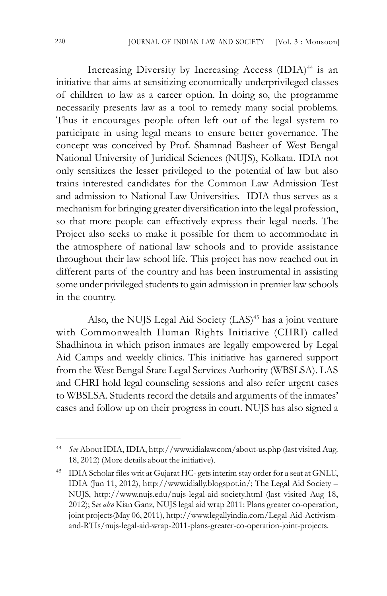Increasing Diversity by Increasing Access (IDIA)<sup>44</sup> is an initiative that aims at sensitizing economically underprivileged classes of children to law as a career option. In doing so, the programme necessarily presents law as a tool to remedy many social problems. Thus it encourages people often left out of the legal system to participate in using legal means to ensure better governance. The concept was conceived by Prof. Shamnad Basheer of West Bengal National University of Juridical Sciences (NUJS), Kolkata. IDIA not only sensitizes the lesser privileged to the potential of law but also trains interested candidates for the Common Law Admission Test and admission to National Law Universities. IDIA thus serves as a mechanism for bringing greater diversification into the legal profession, so that more people can effectively express their legal needs. The Project also seeks to make it possible for them to accommodate in the atmosphere of national law schools and to provide assistance throughout their law school life. This project has now reached out in different parts of the country and has been instrumental in assisting some under privileged students to gain admission in premier law schools in the country.

Also, the NUJS Legal Aid Society (LAS)<sup>45</sup> has a joint venture with Commonwealth Human Rights Initiative (CHRI) called Shadhinota in which prison inmates are legally empowered by Legal Aid Camps and weekly clinics. This initiative has garnered support from the West Bengal State Legal Services Authority (WBSLSA). LAS and CHRI hold legal counseling sessions and also refer urgent cases to WBSLSA. Students record the details and arguments of the inmates' cases and follow up on their progress in court. NUJS has also signed a

<sup>44</sup> *See* About IDIA, IDIA, http://www.idialaw.com/about-us.php (last visited Aug. 18, 2012) (More details about the initiative).

<sup>45</sup> IDIA Scholar files writ at Gujarat HC- gets interim stay order for a seat at GNLU, IDIA (Jun 11, 2012), http://www.idially.blogspot.in/; The Legal Aid Society – NUJS, http://www.nujs.edu/nujs-legal-aid-society.html (last visited Aug 18, 2012); S*ee also* Kian Ganz*,* NUJS legal aid wrap 2011: Plans greater co-operation, joint projects(May 06, 2011), http://www.legallyindia.com/Legal-Aid-Activismand-RTIs/nujs-legal-aid-wrap-2011-plans-greater-co-operation-joint-projects.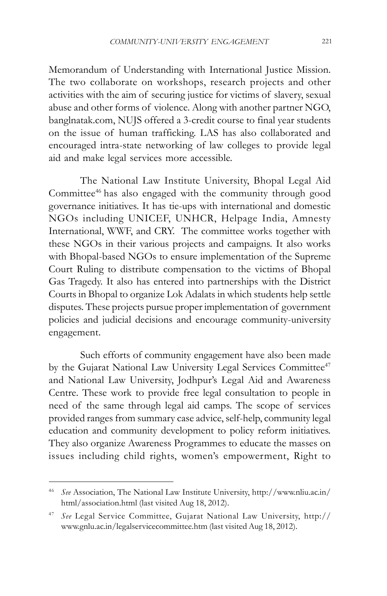Memorandum of Understanding with International Justice Mission. The two collaborate on workshops, research projects and other activities with the aim of securing justice for victims of slavery, sexual abuse and other forms of violence. Along with another partner NGO, banglnatak.com, NUJS offered a 3-credit course to final year students on the issue of human trafficking. LAS has also collaborated and encouraged intra-state networking of law colleges to provide legal aid and make legal services more accessible.

The National Law Institute University, Bhopal Legal Aid Committee46 has also engaged with the community through good governance initiatives. It has tie-ups with international and domestic NGOs including UNICEF, UNHCR, Helpage India, Amnesty International, WWF, and CRY. The committee works together with these NGOs in their various projects and campaigns. It also works with Bhopal-based NGOs to ensure implementation of the Supreme Court Ruling to distribute compensation to the victims of Bhopal Gas Tragedy. It also has entered into partnerships with the District Courts in Bhopal to organize Lok Adalats in which students help settle disputes. These projects pursue proper implementation of government policies and judicial decisions and encourage community-university engagement.

Such efforts of community engagement have also been made by the Gujarat National Law University Legal Services Committee<sup>47</sup> and National Law University, Jodhpur's Legal Aid and Awareness Centre. These work to provide free legal consultation to people in need of the same through legal aid camps. The scope of services provided ranges from summary case advice, self-help, community legal education and community development to policy reform initiatives. They also organize Awareness Programmes to educate the masses on issues including child rights, women's empowerment, Right to

<sup>46</sup> *See* Association, The National Law Institute University, http://www.nliu.ac.in/ html/association.html (last visited Aug 18, 2012).

<sup>47</sup> *See* Legal Service Committee, Gujarat National Law University, http:// www.gnlu.ac.in/legalservicecommittee.htm (last visited Aug 18, 2012).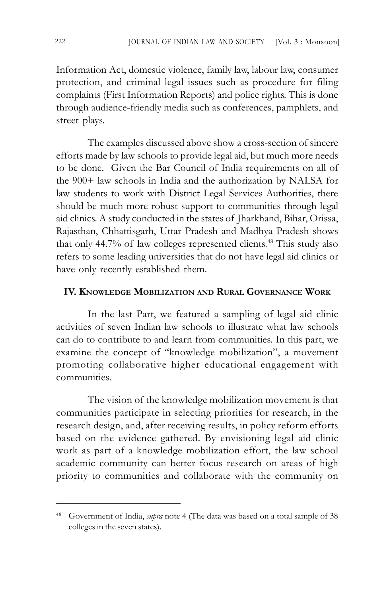Information Act, domestic violence, family law, labour law, consumer protection, and criminal legal issues such as procedure for filing complaints (First Information Reports) and police rights. This is done through audience-friendly media such as conferences, pamphlets, and street plays.

The examples discussed above show a cross-section of sincere efforts made by law schools to provide legal aid, but much more needs to be done. Given the Bar Council of India requirements on all of the 900+ law schools in India and the authorization by NALSA for law students to work with District Legal Services Authorities, there should be much more robust support to communities through legal aid clinics. A study conducted in the states of Jharkhand, Bihar, Orissa, Rajasthan, Chhattisgarh, Uttar Pradesh and Madhya Pradesh shows that only 44.7% of law colleges represented clients. 48 This study also refers to some leading universities that do not have legal aid clinics or have only recently established them.

#### **IV. KNOWLEDGE MOBILIZATION AND RURAL GOVERNANCE WORK**

In the last Part, we featured a sampling of legal aid clinic activities of seven Indian law schools to illustrate what law schools can do to contribute to and learn from communities. In this part, we examine the concept of "knowledge mobilization", a movement promoting collaborative higher educational engagement with communities.

The vision of the knowledge mobilization movement is that communities participate in selecting priorities for research, in the research design, and, after receiving results, in policy reform efforts based on the evidence gathered. By envisioning legal aid clinic work as part of a knowledge mobilization effort, the law school academic community can better focus research on areas of high priority to communities and collaborate with the community on

<sup>48</sup> Government of India, *supra* note 4 (The data was based on a total sample of 38 colleges in the seven states).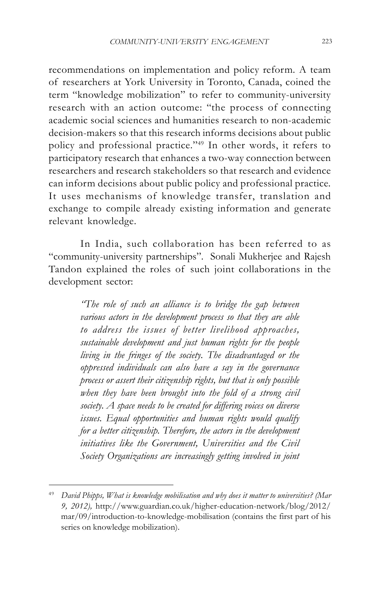recommendations on implementation and policy reform. A team of researchers at York University in Toronto, Canada, coined the term "knowledge mobilization" to refer to community-university research with an action outcome: "the process of connecting academic social sciences and humanities research to non-academic decision-makers so that this research informs decisions about public policy and professional practice."49 In other words, it refers to participatory research that enhances a two-way connection between researchers and research stakeholders so that research and evidence can inform decisions about public policy and professional practice. It uses mechanisms of knowledge transfer, translation and exchange to compile already existing information and generate relevant knowledge.

In India, such collaboration has been referred to as "community-university partnerships". Sonali Mukherjee and Rajesh Tandon explained the roles of such joint collaborations in the development sector:

> *"The role of such an alliance is to bridge the gap between various actors in the development process so that they are able to address the issues of better livelihood approaches, sustainable development and just human rights for the people living in the fringes of the society. The disadvantaged or the oppressed individuals can also have a say in the governance process or assert their citizenship rights, but that is only possible when they have been brought into the fold of a strong civil society. A space needs to be created for differing voices on diverse issues. Equal opportunities and human rights would qualify for a better citizenship. Therefore, the actors in the development initiatives like the Government, Universities and the Civil Society Organizations are increasingly getting involved in joint*

<sup>49</sup> *David Phipps, What is knowledge mobilisation and why does it matter to universities? (Mar 9, 2012),* http://www.guardian.co.uk/higher-education-network/blog/2012/ mar/09/introduction-to-knowledge-mobilisation (contains the first part of his series on knowledge mobilization).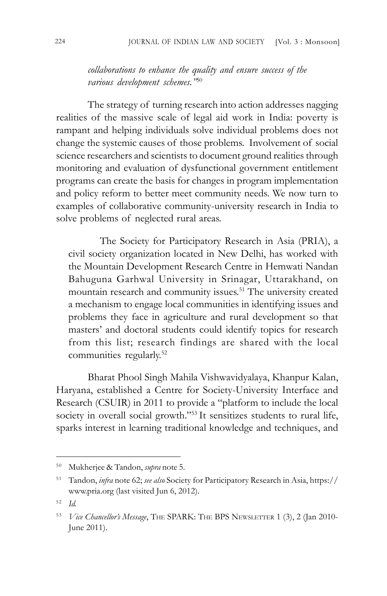*collaborations to enhance the quality and ensure success of the various development schemes."*<sup>50</sup>

The strategy of turning research into action addresses nagging realities of the massive scale of legal aid work in India: poverty is rampant and helping individuals solve individual problems does not change the systemic causes of those problems. Involvement of social science researchers and scientists to document ground realities through monitoring and evaluation of dysfunctional government entitlement programs can create the basis for changes in program implementation and policy reform to better meet community needs. We now turn to examples of collaborative community-university research in India to solve problems of neglected rural areas.

The Society for Participatory Research in Asia (PRIA), a civil society organization located in New Delhi, has worked with the Mountain Development Research Centre in Hemwati Nandan Bahuguna Garhwal University in Srinagar, Uttarakhand, on mountain research and community issues. 51 The university created a mechanism to engage local communities in identifying issues and problems they face in agriculture and rural development so that masters' and doctoral students could identify topics for research from this list; research findings are shared with the local communities regularly.52

Bharat Phool Singh Mahila Vishwavidyalaya, Khanpur Kalan, Haryana, established a Centre for Society-University Interface and Research (CSUIR) in 2011 to provide a "platform to include the local society in overall social growth."<sup>53</sup> It sensitizes students to rural life, sparks interest in learning traditional knowledge and techniques, and

<sup>50</sup> Mukherjee & Tandon, *supra* note 5.

<sup>51</sup> Tandon, *infra* note 62; *see also* Society for Participatory Research in Asia, https:// www.pria.org (last visited Jun 6, 2012).

<sup>52</sup> *Id.*

<sup>53</sup> *Vice Chancellor's Message*, THE SPARK: THE BPS NEWSLETTER 1 (3), 2 (Jan 2010- June 2011).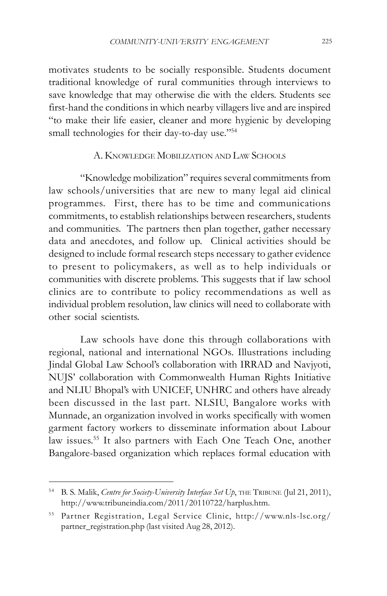motivates students to be socially responsible. Students document traditional knowledge of rural communities through interviews to save knowledge that may otherwise die with the elders. Students see first-hand the conditions in which nearby villagers live and are inspired "to make their life easier, cleaner and more hygienic by developing small technologies for their day-to-day use."<sup>54</sup>

#### A. KNOWLEDGE MOBILIZATION AND LAW SCHOOLS

"Knowledge mobilization" requires several commitments from law schools/universities that are new to many legal aid clinical programmes. First, there has to be time and communications commitments, to establish relationships between researchers, students and communities. The partners then plan together, gather necessary data and anecdotes, and follow up. Clinical activities should be designed to include formal research steps necessary to gather evidence to present to policymakers, as well as to help individuals or communities with discrete problems. This suggests that if law school clinics are to contribute to policy recommendations as well as individual problem resolution, law clinics will need to collaborate with other social scientists.

Law schools have done this through collaborations with regional, national and international NGOs. Illustrations including Jindal Global Law School's collaboration with IRRAD and Navjyoti, NUJS' collaboration with Commonwealth Human Rights Initiative and NLIU Bhopal's with UNICEF, UNHRC and others have already been discussed in the last part. NLSIU, Bangalore works with Munnade, an organization involved in works specifically with women garment factory workers to disseminate information about Labour law issues. 55 It also partners with Each One Teach One, another Bangalore-based organization which replaces formal education with

<sup>&</sup>lt;sup>54</sup> B. S. Malik, *Centre for Society-University Interface Set Up*, THE TRIBUNE (Jul 21, 2011), http://www.tribuneindia.com/2011/20110722/harplus.htm.

<sup>55</sup> Partner Registration, Legal Service Clinic, http://www.nls-lsc.org/ partner\_registration.php (last visited Aug 28, 2012).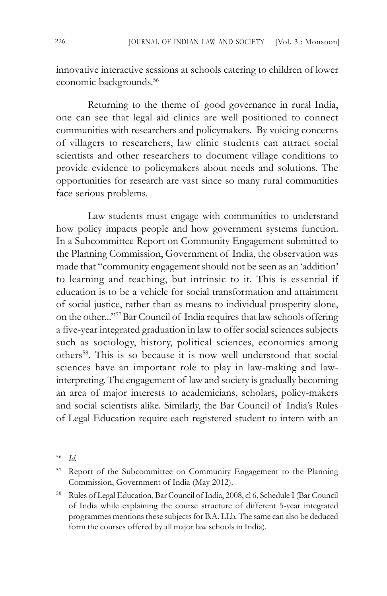innovative interactive sessions at schools catering to children of lower economic backgrounds. 56

Returning to the theme of good governance in rural India, one can see that legal aid clinics are well positioned to connect communities with researchers and policymakers. By voicing concerns of villagers to researchers, law clinic students can attract social scientists and other researchers to document village conditions to provide evidence to policymakers about needs and solutions. The opportunities for research are vast since so many rural communities face serious problems.

Law students must engage with communities to understand how policy impacts people and how government systems function. In a Subcommittee Report on Community Engagement submitted to the Planning Commission, Government of India, the observation was made that "community engagement should not be seen as an 'addition' to learning and teaching, but intrinsic to it. This is essential if education is to be a vehicle for social transformation and attainment of social justice, rather than as means to individual prosperity alone, on the other..."57 Bar Council of India requires that law schools offering a five-year integrated graduation in law to offer social sciences subjects such as sociology, history, political sciences, economics among others58. This is so because it is now well understood that social sciences have an important role to play in law-making and lawinterpreting. The engagement of law and society is gradually becoming an area of major interests to academicians, scholars, policy-makers and social scientists alike. Similarly, the Bar Council of India's Rules of Legal Education require each registered student to intern with an

<sup>56</sup> *Id.*

<sup>&</sup>lt;sup>57</sup> Report of the Subcommittee on Community Engagement to the Planning Commission, Government of India (May 2012).

<sup>58</sup> Rules of Legal Education, Bar Council of India, 2008, cl 6, Schedule I (Bar Council of India while explaining the course structure of different 5-year integrated programmes mentions these subjects for B.A. LLb. The same can also be deduced form the courses offered by all major law schools in India).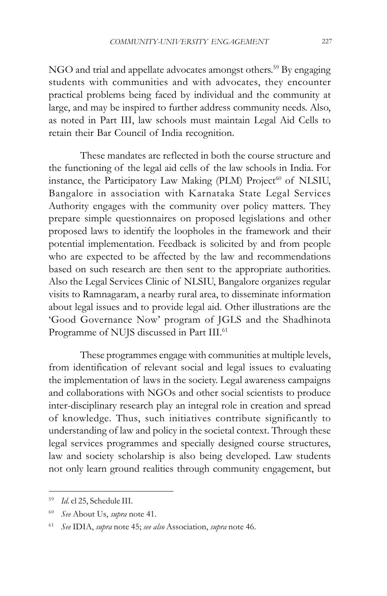NGO and trial and appellate advocates amongst others.<sup>59</sup> By engaging students with communities and with advocates, they encounter practical problems being faced by individual and the community at large, and may be inspired to further address community needs. Also, as noted in Part III, law schools must maintain Legal Aid Cells to retain their Bar Council of India recognition.

These mandates are reflected in both the course structure and the functioning of the legal aid cells of the law schools in India. For instance, the Participatory Law Making (PLM) Project<sup>60</sup> of NLSIU, Bangalore in association with Karnataka State Legal Services Authority engages with the community over policy matters. They prepare simple questionnaires on proposed legislations and other proposed laws to identify the loopholes in the framework and their potential implementation. Feedback is solicited by and from people who are expected to be affected by the law and recommendations based on such research are then sent to the appropriate authorities. Also the Legal Services Clinic of NLSIU, Bangalore organizes regular visits to Ramnagaram, a nearby rural area, to disseminate information about legal issues and to provide legal aid. Other illustrations are the 'Good Governance Now' program of JGLS and the Shadhinota Programme of NUJS discussed in Part III.<sup>61</sup>

These programmes engage with communities at multiple levels, from identification of relevant social and legal issues to evaluating the implementation of laws in the society. Legal awareness campaigns and collaborations with NGOs and other social scientists to produce inter-disciplinary research play an integral role in creation and spread of knowledge. Thus, such initiatives contribute significantly to understanding of law and policy in the societal context. Through these legal services programmes and specially designed course structures, law and society scholarship is also being developed. Law students not only learn ground realities through community engagement, but

<sup>59</sup> *Id*. cl 25, Schedule III.

<sup>60</sup> *See* About Us, *supra* note 41.

<sup>61</sup> *See* IDIA, *supra* note 45; *see also* Association, *supra* note 46.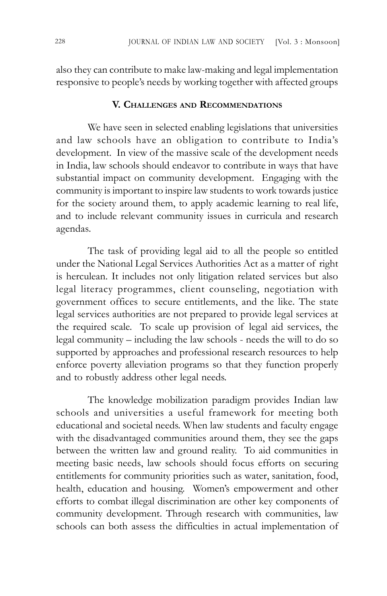also they can contribute to make law-making and legal implementation responsive to people's needs by working together with affected groups

#### **V. CHALLENGES AND RECOMMENDATIONS**

We have seen in selected enabling legislations that universities and law schools have an obligation to contribute to India's development. In view of the massive scale of the development needs in India, law schools should endeavor to contribute in ways that have substantial impact on community development. Engaging with the community is important to inspire law students to work towards justice for the society around them, to apply academic learning to real life, and to include relevant community issues in curricula and research agendas.

The task of providing legal aid to all the people so entitled under the National Legal Services Authorities Act as a matter of right is herculean. It includes not only litigation related services but also legal literacy programmes, client counseling, negotiation with government offices to secure entitlements, and the like. The state legal services authorities are not prepared to provide legal services at the required scale. To scale up provision of legal aid services, the legal community – including the law schools - needs the will to do so supported by approaches and professional research resources to help enforce poverty alleviation programs so that they function properly and to robustly address other legal needs.

The knowledge mobilization paradigm provides Indian law schools and universities a useful framework for meeting both educational and societal needs. When law students and faculty engage with the disadvantaged communities around them, they see the gaps between the written law and ground reality. To aid communities in meeting basic needs, law schools should focus efforts on securing entitlements for community priorities such as water, sanitation, food, health, education and housing. Women's empowerment and other efforts to combat illegal discrimination are other key components of community development. Through research with communities, law schools can both assess the difficulties in actual implementation of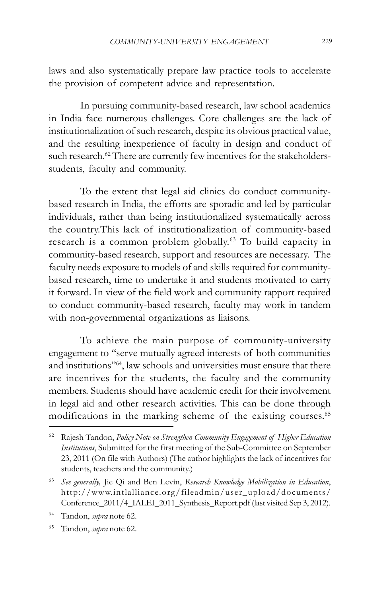laws and also systematically prepare law practice tools to accelerate the provision of competent advice and representation.

In pursuing community-based research, law school academics in India face numerous challenges. Core challenges are the lack of institutionalization of such research, despite its obvious practical value, and the resulting inexperience of faculty in design and conduct of such research.<sup>62</sup> There are currently few incentives for the stakeholdersstudents, faculty and community.

To the extent that legal aid clinics do conduct communitybased research in India, the efforts are sporadic and led by particular individuals, rather than being institutionalized systematically across the country.This lack of institutionalization of community-based research is a common problem globally.<sup>63</sup> To build capacity in community-based research, support and resources are necessary. The faculty needs exposure to models of and skills required for communitybased research, time to undertake it and students motivated to carry it forward. In view of the field work and community rapport required to conduct community-based research, faculty may work in tandem with non-governmental organizations as liaisons.

To achieve the main purpose of community-university engagement to "serve mutually agreed interests of both communities and institutions"64, law schools and universities must ensure that there are incentives for the students, the faculty and the community members. Students should have academic credit for their involvement in legal aid and other research activities. This can be done through modifications in the marking scheme of the existing courses. 65

<sup>62</sup> Rajesh Tandon, *Policy Note on Strengthen Community Engagement of Higher Education Institutions*, Submitted for the first meeting of the Sub-Committee on September 23, 2011 (On file with Authors) (The author highlights the lack of incentives for students, teachers and the community.)

<sup>63</sup> *See generally,* Jie Qi and Ben Levin, *Research Knowledge Mobilization in Education*, http://www.intlalliance.org/fileadmin/user\_upload/documents/ Conference\_2011/4\_IALEI\_2011\_Synthesis\_Report.pdf (last visited Sep 3, 2012).

<sup>64</sup> Tandon, *supra* note 62.

<sup>65</sup> Tandon, *supra* note 62.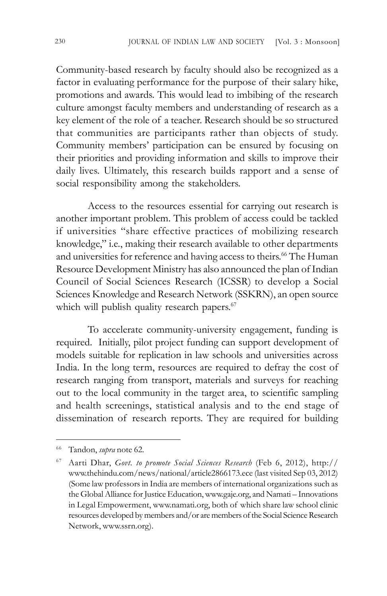Community-based research by faculty should also be recognized as a factor in evaluating performance for the purpose of their salary hike, promotions and awards. This would lead to imbibing of the research culture amongst faculty members and understanding of research as a key element of the role of a teacher. Research should be so structured that communities are participants rather than objects of study. Community members' participation can be ensured by focusing on their priorities and providing information and skills to improve their daily lives. Ultimately, this research builds rapport and a sense of social responsibility among the stakeholders.

Access to the resources essential for carrying out research is another important problem. This problem of access could be tackled if universities "share effective practices of mobilizing research knowledge," i.e., making their research available to other departments and universities for reference and having access to theirs.<sup>66</sup> The Human Resource Development Ministry has also announced the plan of Indian Council of Social Sciences Research (ICSSR) to develop a Social Sciences Knowledge and Research Network (SSKRN), an open source which will publish quality research papers.<sup>67</sup>

To accelerate community-university engagement, funding is required. Initially, pilot project funding can support development of models suitable for replication in law schools and universities across India. In the long term, resources are required to defray the cost of research ranging from transport, materials and surveys for reaching out to the local community in the target area, to scientific sampling and health screenings, statistical analysis and to the end stage of dissemination of research reports. They are required for building

<sup>66</sup> Tandon, *supra* note 62*.*

<sup>67</sup> Aarti Dhar, *Govt. to promote Social Sciences Research* (Feb 6, 2012), http:// www.thehindu.com/news/national/article2866173.ece (last visited Sep 03, 2012) (Some law professors in India are members of international organizations such as the Global Alliance for Justice Education, www.gaje.org, and Namati – Innovations in Legal Empowerment, www.namati.org, both of which share law school clinic resources developed by members and/or are members of the Social Science Research Network, www.ssrn.org).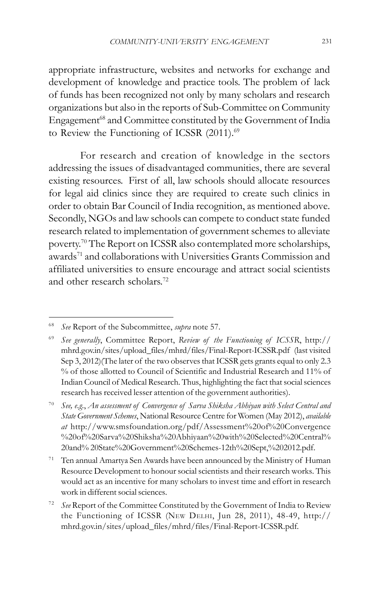appropriate infrastructure, websites and networks for exchange and development of knowledge and practice tools. The problem of lack of funds has been recognized not only by many scholars and research organizations but also in the reports of Sub-Committee on Community Engagement<sup>68</sup> and Committee constituted by the Government of India to Review the Functioning of ICSSR (2011).<sup>69</sup>

For research and creation of knowledge in the sectors addressing the issues of disadvantaged communities, there are several existing resources. First of all, law schools should allocate resources for legal aid clinics since they are required to create such clinics in order to obtain Bar Council of India recognition, as mentioned above. Secondly, NGOs and law schools can compete to conduct state funded research related to implementation of government schemes to alleviate poverty.<sup>70</sup> The Report on ICSSR also contemplated more scholarships, awards<sup>71</sup> and collaborations with Universities Grants Commission and affiliated universities to ensure encourage and attract social scientists and other research scholars.72

<sup>68</sup> *See* Report of the Subcommittee, *supra* note 57.

<sup>69</sup> *See generally*, Committee Report, *Review of the Functioning of ICSSR*, http:// mhrd.gov.in/sites/upload\_files/mhrd/files/Final-Report-ICSSR.pdf (last visited Sep 3, 2012)(The later of the two observes that ICSSR gets grants equal to only 2.3 % of those allotted to Council of Scientific and Industrial Research and 11% of Indian Council of Medical Research. Thus, highlighting the fact that social sciences research has received lesser attention of the government authorities).

<sup>70</sup> *See, e.g*., *An assessment of Convergence of Sarva Shiksha Abhiyan with Select Central and State Government Schemes*, National Resource Centre for Women (May 2012), *available at* http://www.smsfoundation.org/pdf/Assessment%20of%20Convergence %20of%20Sarva%20Shiksha%20Abhiyaan%20with%20Selected%20Central% 20and% 20State%20Government%20Schemes-12th%20Sept,%202012.pdf.

<sup>71</sup> Ten annual Amartya Sen Awards have been announced by the Ministry of Human Resource Development to honour social scientists and their research works. This would act as an incentive for many scholars to invest time and effort in research work in different social sciences.

<sup>72</sup> *See* Report of the Committee Constituted by the Government of India to Review the Functioning of ICSSR (NEW DELHI, Jun 28, 2011), 48-49, http:// mhrd.gov.in/sites/upload\_files/mhrd/files/Final-Report-ICSSR.pdf.